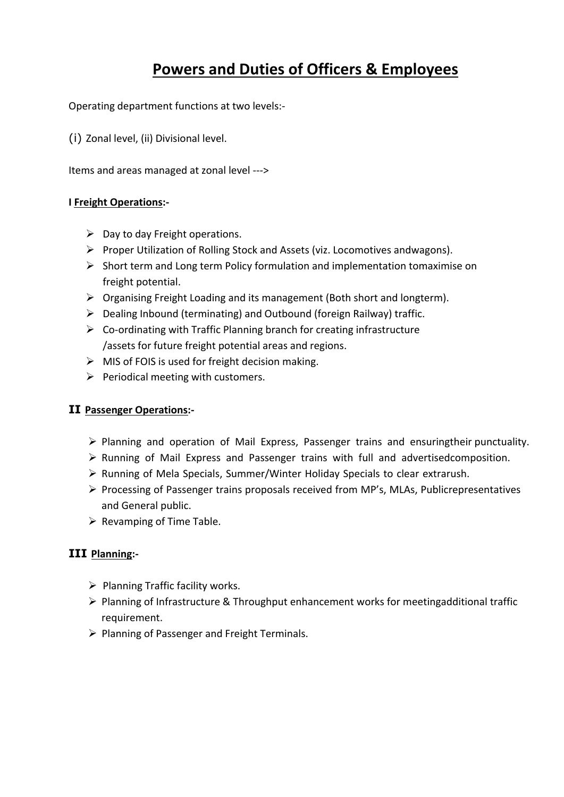## **Powers and Duties of Officers & Employees**

Operating department functions at two levels:-

(i) Zonal level, (ii) Divisional level.

Items and areas managed at zonal level --->

#### **I Freight Operations:-**

- $\triangleright$  Day to day Freight operations.
- $\triangleright$  Proper Utilization of Rolling Stock and Assets (viz. Locomotives andwagons).
- $\triangleright$  Short term and Long term Policy formulation and implementation tomaximise on freight potential.
- $\triangleright$  Organising Freight Loading and its management (Both short and longterm).
- $\triangleright$  Dealing Inbound (terminating) and Outbound (foreign Railway) traffic.
- $\triangleright$  Co-ordinating with Traffic Planning branch for creating infrastructure /assets for future freight potential areas and regions.
- $\triangleright$  MIS of FOIS is used for freight decision making.
- $\triangleright$  Periodical meeting with customers.

#### **II Passenger Operations:-**

- Ø Planning and operation of Mail Express, Passenger trains and ensuringtheir punctuality.
- Ø Running of Mail Express and Passenger trains with full and advertisedcomposition.
- Ø Running of Mela Specials, Summer/Winter Holiday Specials to clear extrarush.
- Ø Processing of Passenger trains proposals received from MP's, MLAs, Publicrepresentatives and General public.
- $\triangleright$  Revamping of Time Table.

### **III Planning:-**

- $\triangleright$  Planning Traffic facility works.
- Ø Planning of Infrastructure & Throughput enhancement works for meetingadditional traffic requirement.
- $\triangleright$  Planning of Passenger and Freight Terminals.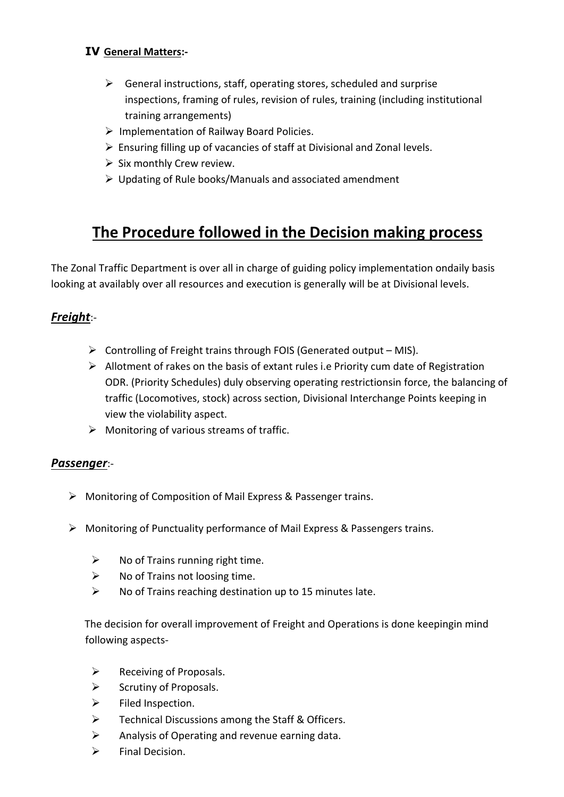## **IV General Matters:-**

- $\triangleright$  General instructions, staff, operating stores, scheduled and surprise inspections, framing of rules, revision of rules, training (including institutional training arrangements)
- $\triangleright$  Implementation of Railway Board Policies.
- $\triangleright$  Ensuring filling up of vacancies of staff at Divisional and Zonal levels.
- $\triangleright$  Six monthly Crew review.
- $\triangleright$  Updating of Rule books/Manuals and associated amendment

## **The Procedure followed in the Decision making process**

The Zonal Traffic Department is over all in charge of guiding policy implementation ondaily basis looking at availably over all resources and execution is generally will be at Divisional levels.

## *Freight*:-

- $\triangleright$  Controlling of Freight trains through FOIS (Generated output MIS).
- $\triangleright$  Allotment of rakes on the basis of extant rules i.e Priority cum date of Registration ODR. (Priority Schedules) duly observing operating restrictionsin force, the balancing of traffic (Locomotives, stock) across section, Divisional Interchange Points keeping in view the violability aspect.
- $\triangleright$  Monitoring of various streams of traffic.

#### *Passenger*:-

- $\triangleright$  Monitoring of Composition of Mail Express & Passenger trains.
- $\triangleright$  Monitoring of Punctuality performance of Mail Express & Passengers trains.
	- $\triangleright$  No of Trains running right time.
	- $\triangleright$  No of Trains not loosing time.
	- $\triangleright$  No of Trains reaching destination up to 15 minutes late.

The decision for overall improvement of Freight and Operations is done keepingin mind following aspects-

- $\triangleright$  Receiving of Proposals.
- $\triangleright$  Scrutiny of Proposals.
- $\triangleright$  Filed Inspection.
- $\triangleright$  Technical Discussions among the Staff & Officers.
- $\triangleright$  Analysis of Operating and revenue earning data.
- $\triangleright$  Final Decision.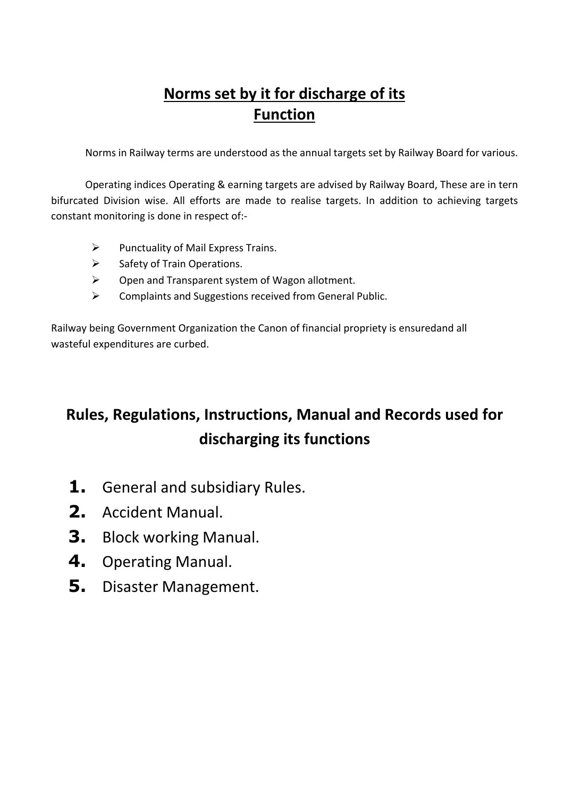# **Norms set by it for discharge of its Function**

Norms in Railway terms are understood as the annual targets set by Railway Board for various.

Operating indices Operating & earning targets are advised by Railway Board, These are in tern bifurcated Division wise. All efforts are made to realise targets. In addition to achieving targets constant monitoring is done in respect of:-

- $\triangleright$  Punctuality of Mail Express Trains.
- $\triangleright$  Safety of Train Operations.
- $\triangleright$  Open and Transparent system of Wagon allotment.
- $\triangleright$  Complaints and Suggestions received from General Public.

Railway being Government Organization the Canon of financial propriety is ensuredand all wasteful expenditures are curbed.

# **Rules, Regulations, Instructions, Manual and Records used for discharging its functions**

- **1.** General and subsidiary Rules.
- **2.** Accident Manual.
- **3.** Block working Manual.
- **4.** Operating Manual.
- **5.** Disaster Management.